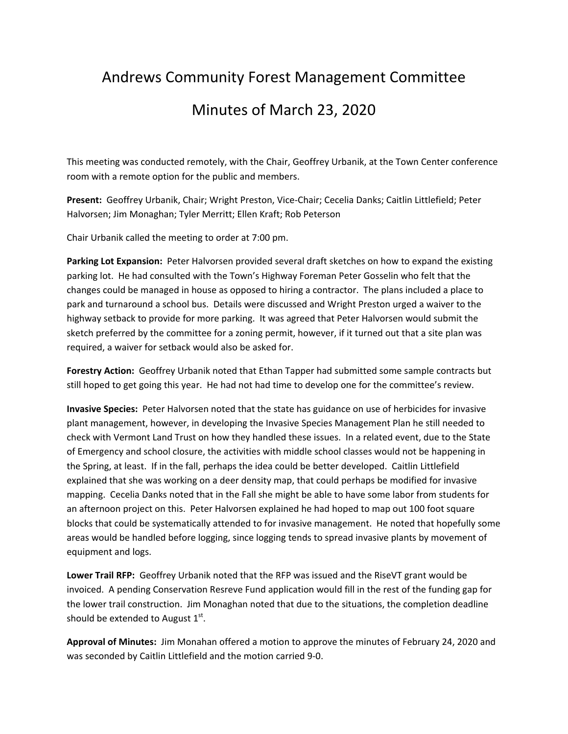## Andrews Community Forest Management Committee Minutes of March 23, 2020

This meeting was conducted remotely, with the Chair, Geoffrey Urbanik, at the Town Center conference room with a remote option for the public and members.

**Present:** Geoffrey Urbanik, Chair; Wright Preston, Vice‐Chair; Cecelia Danks; Caitlin Littlefield; Peter Halvorsen; Jim Monaghan; Tyler Merritt; Ellen Kraft; Rob Peterson

Chair Urbanik called the meeting to order at 7:00 pm.

**Parking Lot Expansion:** Peter Halvorsen provided several draft sketches on how to expand the existing parking lot. He had consulted with the Town's Highway Foreman Peter Gosselin who felt that the changes could be managed in house as opposed to hiring a contractor. The plans included a place to park and turnaround a school bus. Details were discussed and Wright Preston urged a waiver to the highway setback to provide for more parking. It was agreed that Peter Halvorsen would submit the sketch preferred by the committee for a zoning permit, however, if it turned out that a site plan was required, a waiver for setback would also be asked for.

**Forestry Action:** Geoffrey Urbanik noted that Ethan Tapper had submitted some sample contracts but still hoped to get going this year. He had not had time to develop one for the committee's review.

**Invasive Species:** Peter Halvorsen noted that the state has guidance on use of herbicides for invasive plant management, however, in developing the Invasive Species Management Plan he still needed to check with Vermont Land Trust on how they handled these issues. In a related event, due to the State of Emergency and school closure, the activities with middle school classes would not be happening in the Spring, at least. If in the fall, perhaps the idea could be better developed. Caitlin Littlefield explained that she was working on a deer density map, that could perhaps be modified for invasive mapping. Cecelia Danks noted that in the Fall she might be able to have some labor from students for an afternoon project on this. Peter Halvorsen explained he had hoped to map out 100 foot square blocks that could be systematically attended to for invasive management. He noted that hopefully some areas would be handled before logging, since logging tends to spread invasive plants by movement of equipment and logs.

**Lower Trail RFP:** Geoffrey Urbanik noted that the RFP was issued and the RiseVT grant would be invoiced. A pending Conservation Resreve Fund application would fill in the rest of the funding gap for the lower trail construction. Jim Monaghan noted that due to the situations, the completion deadline should be extended to August  $1<sup>st</sup>$ .

**Approval of Minutes:** Jim Monahan offered a motion to approve the minutes of February 24, 2020 and was seconded by Caitlin Littlefield and the motion carried 9‐0.